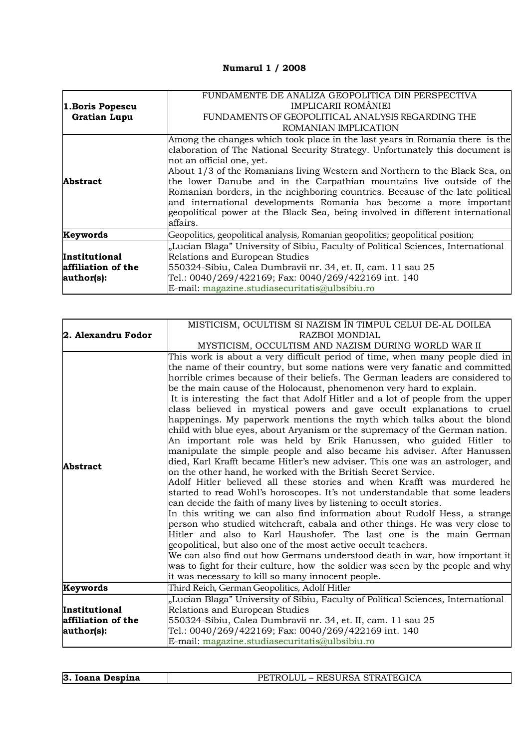## **Numarul 1 / 2008**

| 1. Boris Popescu    | FUNDAMENTE DE ANALIZA GEOPOLITICA DIN PERSPECTIVA<br>IMPLICARII ROMÂNIEI                                                                                                                                                                                                                                                                                                                                                                                                                                                                                                                               |
|---------------------|--------------------------------------------------------------------------------------------------------------------------------------------------------------------------------------------------------------------------------------------------------------------------------------------------------------------------------------------------------------------------------------------------------------------------------------------------------------------------------------------------------------------------------------------------------------------------------------------------------|
| <b>Gratian Lupu</b> | FUNDAMENTS OF GEOPOLITICAL ANALYSIS REGARDING THE                                                                                                                                                                                                                                                                                                                                                                                                                                                                                                                                                      |
|                     | ROMANIAN IMPLICATION                                                                                                                                                                                                                                                                                                                                                                                                                                                                                                                                                                                   |
| <b>Abstract</b>     | Among the changes which took place in the last years in Romania there is the<br>elaboration of The National Security Strategy. Unfortunately this document is<br>not an official one, yet.<br>About 1/3 of the Romanians living Western and Northern to the Black Sea, on<br>the lower Danube and in the Carpathian mountains live outside of the<br>Romanian borders, in the neighboring countries. Because of the late political<br>and international developments Romania has become a more important<br>geopolitical power at the Black Sea, being involved in different international<br>affairs. |
| Keywords            | Geopolitics, geopolitical analysis, Romanian geopolitics; geopolitical position;                                                                                                                                                                                                                                                                                                                                                                                                                                                                                                                       |
|                     | "Lucian Blaga" University of Sibiu, Faculty of Political Sciences, International                                                                                                                                                                                                                                                                                                                                                                                                                                                                                                                       |
| Institutional       | Relations and European Studies                                                                                                                                                                                                                                                                                                                                                                                                                                                                                                                                                                         |
| affiliation of the  | 550324-Sibiu, Calea Dumbravii nr. 34, et. II, cam. 11 sau 25                                                                                                                                                                                                                                                                                                                                                                                                                                                                                                                                           |
| author(s):          | Tel.: 0040/269/422169; Fax: 0040/269/422169 int. 140                                                                                                                                                                                                                                                                                                                                                                                                                                                                                                                                                   |
|                     | E-mail: magazine.studiasecuritatis@ulbsibiu.ro                                                                                                                                                                                                                                                                                                                                                                                                                                                                                                                                                         |

|                    | MISTICISM, OCULTISM SI NAZISM ÎN TIMPUL CELUI DE-AL DOILEA                                                                                                                                                                                                                                                                                                                                                                                                                                                                                                                                                                                                                                                                                                                                                                                                                                                                                                                                                                                                                                                                                                                                                                                                                                                                                                                                                                                                                                                                                                                                                                                             |
|--------------------|--------------------------------------------------------------------------------------------------------------------------------------------------------------------------------------------------------------------------------------------------------------------------------------------------------------------------------------------------------------------------------------------------------------------------------------------------------------------------------------------------------------------------------------------------------------------------------------------------------------------------------------------------------------------------------------------------------------------------------------------------------------------------------------------------------------------------------------------------------------------------------------------------------------------------------------------------------------------------------------------------------------------------------------------------------------------------------------------------------------------------------------------------------------------------------------------------------------------------------------------------------------------------------------------------------------------------------------------------------------------------------------------------------------------------------------------------------------------------------------------------------------------------------------------------------------------------------------------------------------------------------------------------------|
| 2. Alexandru Fodor | RAZBOI MONDIAL                                                                                                                                                                                                                                                                                                                                                                                                                                                                                                                                                                                                                                                                                                                                                                                                                                                                                                                                                                                                                                                                                                                                                                                                                                                                                                                                                                                                                                                                                                                                                                                                                                         |
|                    | MYSTICISM, OCCULTISM AND NAZISM DURING WORLD WAR II                                                                                                                                                                                                                                                                                                                                                                                                                                                                                                                                                                                                                                                                                                                                                                                                                                                                                                                                                                                                                                                                                                                                                                                                                                                                                                                                                                                                                                                                                                                                                                                                    |
| <b>Abstract</b>    | This work is about a very difficult period of time, when many people died in<br>the name of their country, but some nations were very fanatic and committed<br>horrible crimes because of their beliefs. The German leaders are considered to<br>be the main cause of the Holocaust, phenomenon very hard to explain.<br>It is interesting the fact that Adolf Hitler and a lot of people from the upper<br>class believed in mystical powers and gave occult explanations to cruel<br>happenings. My paperwork mentions the myth which talks about the blond<br>child with blue eyes, about Aryanism or the supremacy of the German nation.<br>An important role was held by Erik Hanussen, who guided Hitler to<br>manipulate the simple people and also became his adviser. After Hanussen<br>died, Karl Krafft became Hitler's new adviser. This one was an astrologer, and<br>on the other hand, he worked with the British Secret Service.<br>Adolf Hitler believed all these stories and when Krafft was murdered he<br>started to read Wohl's horoscopes. It's not understandable that some leaders<br>can decide the faith of many lives by listening to occult stories.<br>In this writing we can also find information about Rudolf Hess, a strange<br>person who studied witchcraft, cabala and other things. He was very close to<br>Hitler and also to Karl Haushofer. The last one is the main German<br>geopolitical, but also one of the most active occult teachers.<br>We can also find out how Germans understood death in war, how important it<br>was to fight for their culture, how the soldier was seen by the people and why |
|                    | it was necessary to kill so many innocent people.                                                                                                                                                                                                                                                                                                                                                                                                                                                                                                                                                                                                                                                                                                                                                                                                                                                                                                                                                                                                                                                                                                                                                                                                                                                                                                                                                                                                                                                                                                                                                                                                      |
| Keywords           | Third Reich, German Geopolitics, Adolf Hitler                                                                                                                                                                                                                                                                                                                                                                                                                                                                                                                                                                                                                                                                                                                                                                                                                                                                                                                                                                                                                                                                                                                                                                                                                                                                                                                                                                                                                                                                                                                                                                                                          |
|                    | "Lucian Blaga" University of Sibiu, Faculty of Political Sciences, International                                                                                                                                                                                                                                                                                                                                                                                                                                                                                                                                                                                                                                                                                                                                                                                                                                                                                                                                                                                                                                                                                                                                                                                                                                                                                                                                                                                                                                                                                                                                                                       |
| Institutional      | Relations and European Studies                                                                                                                                                                                                                                                                                                                                                                                                                                                                                                                                                                                                                                                                                                                                                                                                                                                                                                                                                                                                                                                                                                                                                                                                                                                                                                                                                                                                                                                                                                                                                                                                                         |
| affiliation of the | 550324-Sibiu, Calea Dumbravii nr. 34, et. II, cam. 11 sau 25                                                                                                                                                                                                                                                                                                                                                                                                                                                                                                                                                                                                                                                                                                                                                                                                                                                                                                                                                                                                                                                                                                                                                                                                                                                                                                                                                                                                                                                                                                                                                                                           |
| author(s):         | Tel.: 0040/269/422169; Fax: 0040/269/422169 int. 140                                                                                                                                                                                                                                                                                                                                                                                                                                                                                                                                                                                                                                                                                                                                                                                                                                                                                                                                                                                                                                                                                                                                                                                                                                                                                                                                                                                                                                                                                                                                                                                                   |
|                    | E-mail: magazine.studiasecuritatis@ulbsibiu.ro                                                                                                                                                                                                                                                                                                                                                                                                                                                                                                                                                                                                                                                                                                                                                                                                                                                                                                                                                                                                                                                                                                                                                                                                                                                                                                                                                                                                                                                                                                                                                                                                         |

| 3. Ioana Despina | PETROLUL – RESURSA STRATEGICA |
|------------------|-------------------------------|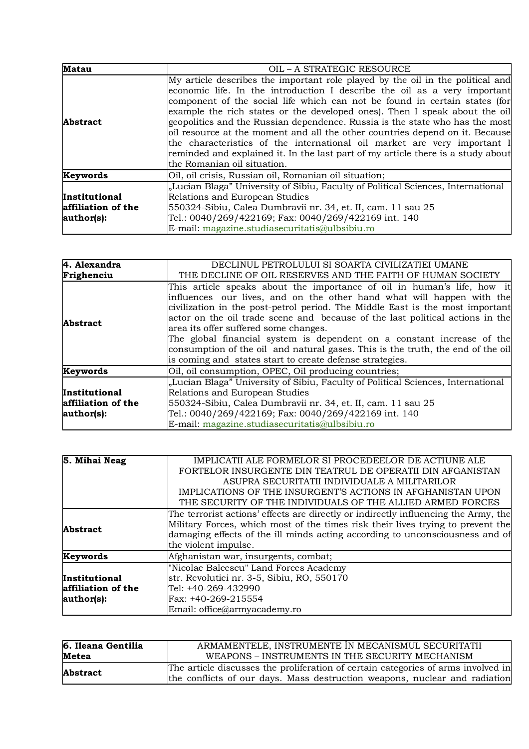| <b>Matau</b>                                      | OIL - A STRATEGIC RESOURCE                                                                                                                                                                                                                                                                                                                                                                                                                                                                                                                                                                                                                                                             |
|---------------------------------------------------|----------------------------------------------------------------------------------------------------------------------------------------------------------------------------------------------------------------------------------------------------------------------------------------------------------------------------------------------------------------------------------------------------------------------------------------------------------------------------------------------------------------------------------------------------------------------------------------------------------------------------------------------------------------------------------------|
| <b>Abstract</b>                                   | My article describes the important role played by the oil in the political and<br>economic life. In the introduction I describe the oil as a very important<br>component of the social life which can not be found in certain states (for<br>example the rich states or the developed ones). Then I speak about the oil<br>geopolitics and the Russian dependence. Russia is the state who has the most<br>oil resource at the moment and all the other countries depend on it. Because<br>the characteristics of the international oil market are very important I<br>reminded and explained it. In the last part of my article there is a study about<br>the Romanian oil situation. |
| Keywords                                          | Oil, oil crisis, Russian oil, Romanian oil situation;                                                                                                                                                                                                                                                                                                                                                                                                                                                                                                                                                                                                                                  |
| Institutional<br>affiliation of the<br>author(s): | "Lucian Blaga" University of Sibiu, Faculty of Political Sciences, International<br>Relations and European Studies<br>550324-Sibiu, Calea Dumbravii nr. 34, et. II, cam. 11 sau 25<br>Tel.: 0040/269/422169; Fax: 0040/269/422169 int. 140<br>E-mail: magazine.studiasecuritatis@ulbsibiu.ro                                                                                                                                                                                                                                                                                                                                                                                           |

| 4. Alexandra       | DECLINUL PETROLULUI SI SOARTA CIVILIZATIEI UMANE                                                                                                                                                                                                                                                                                                                                                                                                                                                                                                                                     |
|--------------------|--------------------------------------------------------------------------------------------------------------------------------------------------------------------------------------------------------------------------------------------------------------------------------------------------------------------------------------------------------------------------------------------------------------------------------------------------------------------------------------------------------------------------------------------------------------------------------------|
| Frighenciu         | THE DECLINE OF OIL RESERVES AND THE FAITH OF HUMAN SOCIETY                                                                                                                                                                                                                                                                                                                                                                                                                                                                                                                           |
| <b>Abstract</b>    | This article speaks about the importance of oil in human's life, how it<br>influences our lives, and on the other hand what will happen with the<br>civilization in the post-petrol period. The Middle East is the most important<br>actor on the oil trade scene and because of the last political actions in the<br>area its offer suffered some changes.<br>The global financial system is dependent on a constant increase of the<br>consumption of the oil and natural gases. This is the truth, the end of the oil<br>is coming and states start to create defense strategies. |
| Keywords           | Oil, oil consumption, OPEC, Oil producing countries;                                                                                                                                                                                                                                                                                                                                                                                                                                                                                                                                 |
|                    | "Lucian Blaga" University of Sibiu, Faculty of Political Sciences, International                                                                                                                                                                                                                                                                                                                                                                                                                                                                                                     |
| Institutional      | Relations and European Studies                                                                                                                                                                                                                                                                                                                                                                                                                                                                                                                                                       |
| affiliation of the | 550324-Sibiu, Calea Dumbravii nr. 34, et. II, cam. 11 sau 25                                                                                                                                                                                                                                                                                                                                                                                                                                                                                                                         |
| author(s):         | Tel.: 0040/269/422169; Fax: 0040/269/422169 int. 140                                                                                                                                                                                                                                                                                                                                                                                                                                                                                                                                 |
|                    | E-mail: magazine.studiasecuritatis@ulbsibiu.ro                                                                                                                                                                                                                                                                                                                                                                                                                                                                                                                                       |

| 5. Mihai Neag      | IMPLICATII ALE FORMELOR SI PROCEDEELOR DE ACTIUNE ALE                               |
|--------------------|-------------------------------------------------------------------------------------|
|                    | FORTELOR INSURGENTE DIN TEATRUL DE OPERATII DIN AFGANISTAN                          |
|                    | ASUPRA SECURITATII INDIVIDUALE A MILITARILOR                                        |
|                    | IMPLICATIONS OF THE INSURGENT'S ACTIONS IN AFGHANISTAN UPON                         |
|                    | THE SECURITY OF THE INDIVIDUALS OF THE ALLIED ARMED FORCES                          |
|                    | The terrorist actions' effects are directly or indirectly influencing the Army, the |
| <b>Abstract</b>    | Military Forces, which most of the times risk their lives trying to prevent the     |
|                    | damaging effects of the ill minds acting according to unconsciousness and of        |
|                    | the violent impulse.                                                                |
| Keywords           | Afghanistan war, insurgents, combat;                                                |
|                    | "Nicolae Balcescu" Land Forces Academy                                              |
| Institutional      | str. Revolutiei nr. 3-5, Sibiu, RO, 550170                                          |
| affiliation of the | Tel: +40-269-432990                                                                 |
| author(s):         | Fax: +40-269-215554                                                                 |
|                    | Email: office@armyacademy.ro                                                        |

| 6. Ileana Gentilia | ARMAMENTELE, INSTRUMENTE ÎN MECANISMUL SECURITATII                                                                                                              |
|--------------------|-----------------------------------------------------------------------------------------------------------------------------------------------------------------|
| <b>Metea</b>       | WEAPONS - INSTRUMENTS IN THE SECURITY MECHANISM                                                                                                                 |
| <b>Abstract</b>    | The article discusses the proliferation of certain categories of arms involved in<br>the conflicts of our days. Mass destruction weapons, nuclear and radiation |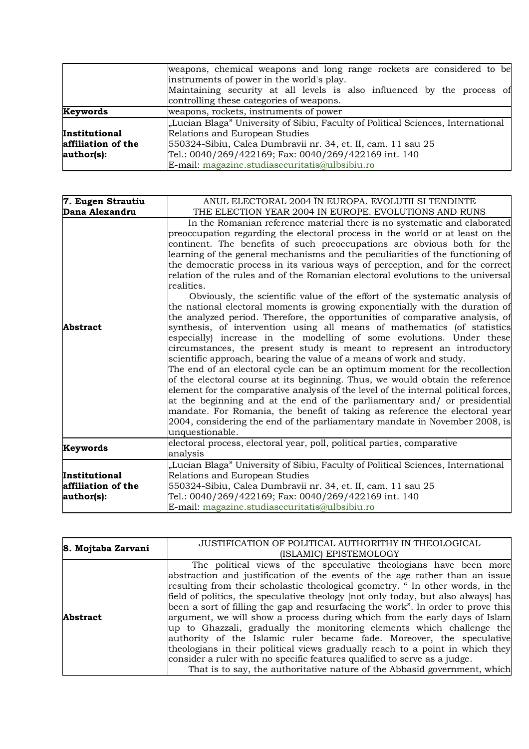|                    | weapons, chemical weapons and long range rockets are considered to be            |
|--------------------|----------------------------------------------------------------------------------|
|                    | instruments of power in the world's play.                                        |
|                    | Maintaining security at all levels is also influenced by the process of          |
|                    | controlling these categories of weapons.                                         |
| Keywords           | weapons, rockets, instruments of power                                           |
|                    | "Lucian Blaga" University of Sibiu, Faculty of Political Sciences, International |
| Institutional      | Relations and European Studies                                                   |
| affiliation of the | 550324-Sibiu, Calea Dumbravii nr. 34, et. II, cam. 11 sau 25                     |
| author(s):         | Tel.: 0040/269/422169; Fax: 0040/269/422169 int. 140                             |
|                    | E-mail: magazine.studiasecuritatis@ulbsibiu.ro                                   |

| 7. Eugen Strautiu  | ANUL ELECTORAL 2004 ÎN EUROPA. EVOLUTII SI TENDINTE                                                                                                                                                                                                                                                                                                                                                                                                                                                                                                                                                                                                                                                                                                                                                                                                                                                                                                                                                                                                                                                                                                                                                                                                                                                                                                                                                                                                                                                                                                                                  |
|--------------------|--------------------------------------------------------------------------------------------------------------------------------------------------------------------------------------------------------------------------------------------------------------------------------------------------------------------------------------------------------------------------------------------------------------------------------------------------------------------------------------------------------------------------------------------------------------------------------------------------------------------------------------------------------------------------------------------------------------------------------------------------------------------------------------------------------------------------------------------------------------------------------------------------------------------------------------------------------------------------------------------------------------------------------------------------------------------------------------------------------------------------------------------------------------------------------------------------------------------------------------------------------------------------------------------------------------------------------------------------------------------------------------------------------------------------------------------------------------------------------------------------------------------------------------------------------------------------------------|
| Dana Alexandru     | THE ELECTION YEAR 2004 IN EUROPE. EVOLUTIONS AND RUNS                                                                                                                                                                                                                                                                                                                                                                                                                                                                                                                                                                                                                                                                                                                                                                                                                                                                                                                                                                                                                                                                                                                                                                                                                                                                                                                                                                                                                                                                                                                                |
| <b>Abstract</b>    | In the Romanian reference material there is no systematic and elaborated<br>preoccupation regarding the electoral process in the world or at least on the<br>continent. The benefits of such preoccupations are obvious both for the<br>learning of the general mechanisms and the peculiarities of the functioning of<br>the democratic process in its various ways of perception, and for the correct<br>relation of the rules and of the Romanian electoral evolutions to the universal<br>realities.<br>Obviously, the scientific value of the effort of the systematic analysis of<br>the national electoral moments is growing exponentially with the duration of<br>the analyzed period. Therefore, the opportunities of comparative analysis, of<br>synthesis, of intervention using all means of mathematics (of statistics<br>especially) increase in the modelling of some evolutions. Under these<br>circumstances, the present study is meant to represent an introductory<br>scientific approach, bearing the value of a means of work and study.<br>The end of an electoral cycle can be an optimum moment for the recollection<br>of the electoral course at its beginning. Thus, we would obtain the reference<br>element for the comparative analysis of the level of the internal political forces,<br>at the beginning and at the end of the parliamentary and/ or presidential<br>mandate. For Romania, the benefit of taking as reference the electoral year<br>2004, considering the end of the parliamentary mandate in November 2008, is<br>unquestionable. |
| Keywords           | electoral process, electoral year, poll, political parties, comparative<br>analysis                                                                                                                                                                                                                                                                                                                                                                                                                                                                                                                                                                                                                                                                                                                                                                                                                                                                                                                                                                                                                                                                                                                                                                                                                                                                                                                                                                                                                                                                                                  |
|                    | "Lucian Blaga" University of Sibiu, Faculty of Political Sciences, International                                                                                                                                                                                                                                                                                                                                                                                                                                                                                                                                                                                                                                                                                                                                                                                                                                                                                                                                                                                                                                                                                                                                                                                                                                                                                                                                                                                                                                                                                                     |
| Institutional      | Relations and European Studies                                                                                                                                                                                                                                                                                                                                                                                                                                                                                                                                                                                                                                                                                                                                                                                                                                                                                                                                                                                                                                                                                                                                                                                                                                                                                                                                                                                                                                                                                                                                                       |
| affiliation of the | 550324-Sibiu, Calea Dumbravii nr. 34, et. II, cam. 11 sau 25                                                                                                                                                                                                                                                                                                                                                                                                                                                                                                                                                                                                                                                                                                                                                                                                                                                                                                                                                                                                                                                                                                                                                                                                                                                                                                                                                                                                                                                                                                                         |
| author(s):         | Tel.: 0040/269/422169; Fax: 0040/269/422169 int. 140                                                                                                                                                                                                                                                                                                                                                                                                                                                                                                                                                                                                                                                                                                                                                                                                                                                                                                                                                                                                                                                                                                                                                                                                                                                                                                                                                                                                                                                                                                                                 |
|                    | E-mail: magazine.studiasecuritatis@ulbsibiu.ro                                                                                                                                                                                                                                                                                                                                                                                                                                                                                                                                                                                                                                                                                                                                                                                                                                                                                                                                                                                                                                                                                                                                                                                                                                                                                                                                                                                                                                                                                                                                       |

| 8. Mojtaba Zarvani | JUSTIFICATION OF POLITICAL AUTHORITHY IN THEOLOGICAL                              |
|--------------------|-----------------------------------------------------------------------------------|
|                    | (ISLAMIC) EPISTEMOLOGY                                                            |
|                    | The political views of the speculative theologians have been more                 |
|                    | abstraction and justification of the events of the age rather than an issue       |
|                    | resulting from their scholastic theological geometry. "In other words, in the     |
|                    | field of politics, the speculative theology (not only today, but also always) has |
|                    | been a sort of filling the gap and resurfacing the work". In order to prove this  |
| <b>Abstract</b>    | argument, we will show a process during which from the early days of Islam        |
|                    | up to Ghazzali, gradually the monitoring elements which challenge the             |
|                    | authority of the Islamic ruler became fade. Moreover, the speculative             |
|                    | theologians in their political views gradually reach to a point in which they     |
|                    | consider a ruler with no specific features qualified to serve as a judge.         |
|                    | That is to say, the authoritative nature of the Abbasid government, which         |